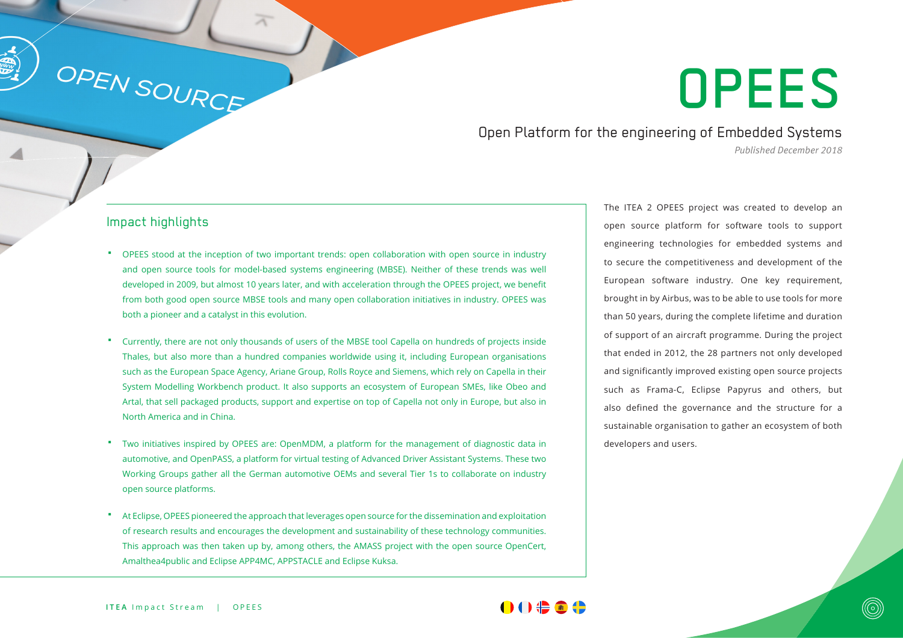# OPEES

Open Platform for the engineering of Embedded Systems *Published December 2018*

#### Impact highlights

OPEN SOURCE

- OPEES stood at the inception of two important trends: open collaboration with open source in industry and open source tools for model-based systems engineering (MBSE). Neither of these trends was well developed in 2009, but almost 10 years later, and with acceleration through the OPEES project, we benefit from both good open source MBSE tools and many open collaboration initiatives in industry. OPEES was both a pioneer and a catalyst in this evolution.
- Currently, there are not only thousands of users of the MBSE tool Capella on hundreds of projects inside Thales, but also more than a hundred companies worldwide using it, including European organisations such as the European Space Agency, Ariane Group, Rolls Royce and Siemens, which rely on Capella in their System Modelling Workbench product. It also supports an ecosystem of European SMEs, like Obeo and Artal, that sell packaged products, support and expertise on top of Capella not only in Europe, but also in North America and in China.
- Two initiatives inspired by OPEES are: OpenMDM, a platform for the management of diagnostic data in automotive, and OpenPASS, a platform for virtual testing of Advanced Driver Assistant Systems. These two Working Groups gather all the German automotive OEMs and several Tier 1s to collaborate on industry open source platforms.
- At Eclipse, OPEES pioneered the approach that leverages open source for the dissemination and exploitation of research results and encourages the development and sustainability of these technology communities. This approach was then taken up by, among others, the AMASS project with the open source OpenCert, Amalthea4public and Eclipse APP4MC, APPSTACLE and Eclipse Kuksa.

The ITEA 2 OPEES project was created to develop an open source platform for software tools to support engineering technologies for embedded systems and to secure the competitiveness and development of the European software industry. One key requirement, brought in by Airbus, was to be able to use tools for more than 50 years, during the complete lifetime and duration of support of an aircraft programme. During the project that ended in 2012, the 28 partners not only developed and significantly improved existing open source projects such as Frama-C, Eclipse Papyrus and others, but also defined the governance and the structure for a sustainable organisation to gather an ecosystem of both developers and users.